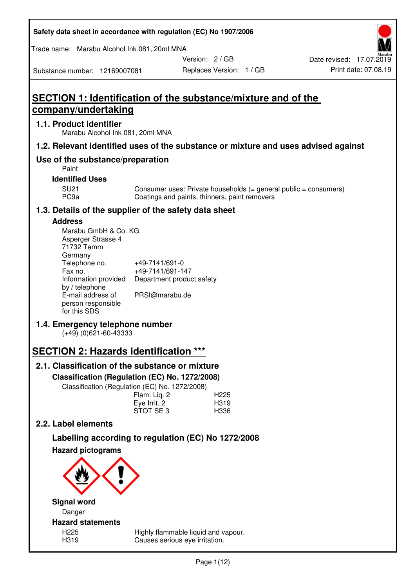| Safety data sheet in accordance with regulation (EC) No 1907/2006 |  |
|-------------------------------------------------------------------|--|
|-------------------------------------------------------------------|--|

Trade name: Marabu Alcohol Ink 081, 20ml MNA

Version: 2 / GB

Substance number: 12169007081

# **SECTION 1: Identification of the substance/mixture and of the company/undertaking**

## **1.1. Product identifier**

Marabu Alcohol Ink 081, 20ml MNA

## **1.2. Relevant identified uses of the substance or mixture and uses advised against**

## **Use of the substance/preparation**

Paint

## **Identified Uses**

SU21 Consumer uses: Private households (= general public = consumers)<br>PC9a Coatings and paints, thinners, paint removers Coatings and paints, thinners, paint removers

## **1.3. Details of the supplier of the safety data sheet**

## **Address**

| Marabu GmbH & Co. KG |                           |
|----------------------|---------------------------|
| Asperger Strasse 4   |                           |
| 71732 Tamm           |                           |
| Germany              |                           |
| Telephone no.        | +49-7141/691-0            |
| Fax no.              | +49-7141/691-147          |
| Information provided | Department product safety |
| by / telephone       |                           |
| E-mail address of    | PRSI@marabu.de            |
| person responsible   |                           |
| for this SDS         |                           |

## **1.4. Emergency telephone number**

(+49) (0)621-60-43333

## **SECTION 2: Hazards identification \*\*\***

## **2.1. Classification of the substance or mixture**

**Classification (Regulation (EC) No. 1272/2008)** 

Classification (Regulation (EC) No. 1272/2008)

|              | . |                  |
|--------------|---|------------------|
| Flam. Liq. 2 |   | H <sub>225</sub> |
| Eye Irrit. 2 |   | H319             |
| STOT SE3     |   | H336             |
|              |   |                  |

## **2.2. Label elements**

# **Labelling according to regulation (EC) No 1272/2008**



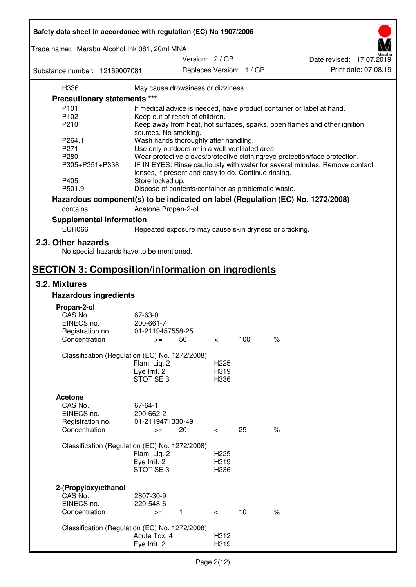| Safety data sheet in accordance with regulation (EC) No 1907/2006 |                                                       |                 |                          |                          |                                                                                 |
|-------------------------------------------------------------------|-------------------------------------------------------|-----------------|--------------------------|--------------------------|---------------------------------------------------------------------------------|
| Trade name: Marabu Alcohol Ink 081, 20ml MNA                      |                                                       |                 |                          |                          |                                                                                 |
|                                                                   |                                                       | Version: 2 / GB |                          |                          | Date revised: 17.07.2019                                                        |
| Substance number: 12169007081                                     |                                                       |                 |                          | Replaces Version: 1 / GB | Print date: 07.08.19                                                            |
| H336                                                              | May cause drowsiness or dizziness.                    |                 |                          |                          |                                                                                 |
| Precautionary statements ***                                      |                                                       |                 |                          |                          |                                                                                 |
| P <sub>101</sub>                                                  |                                                       |                 |                          |                          | If medical advice is needed, have product container or label at hand.           |
| P102                                                              | Keep out of reach of children.                        |                 |                          |                          |                                                                                 |
| P210                                                              |                                                       |                 |                          |                          | Keep away from heat, hot surfaces, sparks, open flames and other ignition       |
|                                                                   | sources. No smoking.                                  |                 |                          |                          |                                                                                 |
| P264.1                                                            | Wash hands thoroughly after handling.                 |                 |                          |                          |                                                                                 |
| P271                                                              | Use only outdoors or in a well-ventilated area.       |                 |                          |                          |                                                                                 |
| P280                                                              |                                                       |                 |                          |                          | Wear protective gloves/protective clothing/eye protection/face protection.      |
| P305+P351+P338                                                    | lenses, if present and easy to do. Continue rinsing.  |                 |                          |                          | IF IN EYES: Rinse cautiously with water for several minutes. Remove contact     |
| P405                                                              | Store locked up.                                      |                 |                          |                          |                                                                                 |
| P501.9                                                            | Dispose of contents/container as problematic waste.   |                 |                          |                          |                                                                                 |
|                                                                   |                                                       |                 |                          |                          | Hazardous component(s) to be indicated on label (Regulation (EC) No. 1272/2008) |
| contains                                                          | Acetone; Propan-2-ol                                  |                 |                          |                          |                                                                                 |
| <b>Supplemental information</b>                                   |                                                       |                 |                          |                          |                                                                                 |
| <b>EUH066</b>                                                     | Repeated exposure may cause skin dryness or cracking. |                 |                          |                          |                                                                                 |
| 2.3. Other hazards<br>No special hazards have to be mentioned.    |                                                       |                 |                          |                          |                                                                                 |
| <b>SECTION 3: Composition/information on ingredients</b>          |                                                       |                 |                          |                          |                                                                                 |
| 3.2. Mixtures                                                     |                                                       |                 |                          |                          |                                                                                 |
| <b>Hazardous ingredients</b>                                      |                                                       |                 |                          |                          |                                                                                 |
|                                                                   |                                                       |                 |                          |                          |                                                                                 |
| Propan-2-ol<br>CAS No.                                            | 67-63-0                                               |                 |                          |                          |                                                                                 |
| EINECS no.                                                        | 200-661-7                                             |                 |                          |                          |                                                                                 |
| Registration no.                                                  | 01-2119457558-25                                      |                 |                          |                          |                                                                                 |
| Concentration                                                     | 50<br>$>=$                                            |                 | $\,<\,$                  | 100                      | $\%$                                                                            |
|                                                                   |                                                       |                 |                          |                          |                                                                                 |
| Classification (Regulation (EC) No. 1272/2008)                    |                                                       |                 |                          |                          |                                                                                 |
|                                                                   | Flam. Liq. 2                                          |                 | H <sub>225</sub>         |                          |                                                                                 |
|                                                                   | Eye Irrit. 2                                          |                 | H319                     |                          |                                                                                 |
|                                                                   | STOT SE3                                              |                 | H336                     |                          |                                                                                 |
|                                                                   |                                                       |                 |                          |                          |                                                                                 |
| <b>Acetone</b>                                                    |                                                       |                 |                          |                          |                                                                                 |
| CAS No.<br>EINECS no.                                             | 67-64-1<br>200-662-2                                  |                 |                          |                          |                                                                                 |
| Registration no.                                                  | 01-2119471330-49                                      |                 |                          |                          |                                                                                 |
| Concentration                                                     | 20<br>$>=$                                            |                 | $\overline{\phantom{0}}$ | 25                       | $\%$                                                                            |
|                                                                   |                                                       |                 |                          |                          |                                                                                 |
| Classification (Regulation (EC) No. 1272/2008)                    |                                                       |                 |                          |                          |                                                                                 |
|                                                                   | Flam. Liq. 2                                          |                 | H <sub>225</sub>         |                          |                                                                                 |
|                                                                   | Eye Irrit. 2                                          |                 | H319                     |                          |                                                                                 |
|                                                                   | STOT SE3                                              |                 | H336                     |                          |                                                                                 |
|                                                                   |                                                       |                 |                          |                          |                                                                                 |
| 2-(Propyloxy) ethanol<br>CAS No.                                  | 2807-30-9                                             |                 |                          |                          |                                                                                 |
| EINECS no.                                                        | 220-548-6                                             |                 |                          |                          |                                                                                 |
| Concentration                                                     | $\mathbf{1}$<br>$>=$                                  |                 | $\prec$                  | 10                       | $\%$                                                                            |
|                                                                   |                                                       |                 |                          |                          |                                                                                 |
| Classification (Regulation (EC) No. 1272/2008)                    |                                                       |                 |                          |                          |                                                                                 |
|                                                                   | Acute Tox. 4                                          |                 | H312                     |                          |                                                                                 |
|                                                                   | Eye Irrit. 2                                          |                 | H319                     |                          |                                                                                 |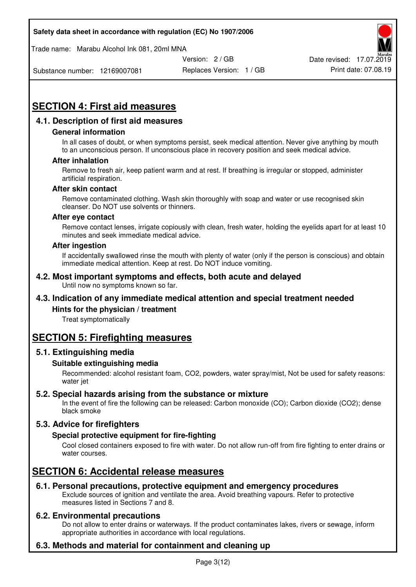Trade name: Marabu Alcohol Ink 081, 20ml MNA



Substance number: 12169007081

Replaces Version: 1 / GB Print date: 07.08.19

# **SECTION 4: First aid measures**

## **4.1. Description of first aid measures**

### **General information**

In all cases of doubt, or when symptoms persist, seek medical attention. Never give anything by mouth to an unconscious person. If unconscious place in recovery position and seek medical advice.

### **After inhalation**

Remove to fresh air, keep patient warm and at rest. If breathing is irregular or stopped, administer artificial respiration.

#### **After skin contact**

Remove contaminated clothing. Wash skin thoroughly with soap and water or use recognised skin cleanser. Do NOT use solvents or thinners.

#### **After eye contact**

Remove contact lenses, irrigate copiously with clean, fresh water, holding the eyelids apart for at least 10 minutes and seek immediate medical advice.

#### **After ingestion**

If accidentally swallowed rinse the mouth with plenty of water (only if the person is conscious) and obtain immediate medical attention. Keep at rest. Do NOT induce vomiting.

#### **4.2. Most important symptoms and effects, both acute and delayed**  Until now no symptoms known so far.

## **4.3. Indication of any immediate medical attention and special treatment needed**

### **Hints for the physician / treatment**

Treat symptomatically

## **SECTION 5: Firefighting measures**

### **5.1. Extinguishing media**

### **Suitable extinguishing media**

Recommended: alcohol resistant foam, CO2, powders, water spray/mist, Not be used for safety reasons: water jet

### **5.2. Special hazards arising from the substance or mixture**

In the event of fire the following can be released: Carbon monoxide (CO); Carbon dioxide (CO2); dense black smoke

## **5.3. Advice for firefighters**

### **Special protective equipment for fire-fighting**

Cool closed containers exposed to fire with water. Do not allow run-off from fire fighting to enter drains or water courses.

## **SECTION 6: Accidental release measures**

### **6.1. Personal precautions, protective equipment and emergency procedures**

Exclude sources of ignition and ventilate the area. Avoid breathing vapours. Refer to protective measures listed in Sections 7 and 8.

### **6.2. Environmental precautions**

Do not allow to enter drains or waterways. If the product contaminates lakes, rivers or sewage, inform appropriate authorities in accordance with local regulations.

## **6.3. Methods and material for containment and cleaning up**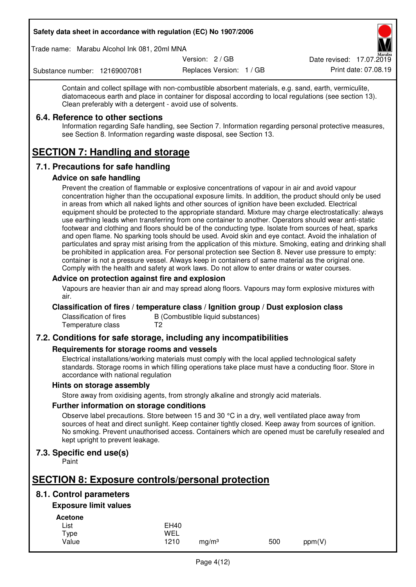Trade name: Marabu Alcohol Ink 081, 20ml MNA

Version: 2 / GB

Replaces Version: 1 / GB Print date: 07.08.19 Date revised: 17.07.2019

Substance number: 12169007081

Contain and collect spillage with non-combustible absorbent materials, e.g. sand, earth, vermiculite, diatomaceous earth and place in container for disposal according to local regulations (see section 13). Clean preferably with a detergent - avoid use of solvents.

## **6.4. Reference to other sections**

Information regarding Safe handling, see Section 7. Information regarding personal protective measures, see Section 8. Information regarding waste disposal, see Section 13.

# **SECTION 7: Handling and storage**

## **7.1. Precautions for safe handling**

### **Advice on safe handling**

Prevent the creation of flammable or explosive concentrations of vapour in air and avoid vapour concentration higher than the occupational exposure limits. In addition, the product should only be used in areas from which all naked lights and other sources of ignition have been excluded. Electrical equipment should be protected to the appropriate standard. Mixture may charge electrostatically: always use earthing leads when transferring from one container to another. Operators should wear anti-static footwear and clothing and floors should be of the conducting type. Isolate from sources of heat, sparks and open flame. No sparking tools should be used. Avoid skin and eye contact. Avoid the inhalation of particulates and spray mist arising from the application of this mixture. Smoking, eating and drinking shall be prohibited in application area. For personal protection see Section 8. Never use pressure to empty: container is not a pressure vessel. Always keep in containers of same material as the original one. Comply with the health and safety at work laws. Do not allow to enter drains or water courses.

## **Advice on protection against fire and explosion**

Vapours are heavier than air and may spread along floors. Vapours may form explosive mixtures with air.

### **Classification of fires / temperature class / Ignition group / Dust explosion class**

Classification of fires B (Combustible liquid substances)<br>Temperature class T2 Temperature class

## **7.2. Conditions for safe storage, including any incompatibilities**

### **Requirements for storage rooms and vessels**

Electrical installations/working materials must comply with the local applied technological safety standards. Storage rooms in which filling operations take place must have a conducting floor. Store in accordance with national regulation

### **Hints on storage assembly**

Store away from oxidising agents, from strongly alkaline and strongly acid materials.

### **Further information on storage conditions**

Observe label precautions. Store between 15 and 30 °C in a dry, well ventilated place away from sources of heat and direct sunlight. Keep container tightly closed. Keep away from sources of ignition. No smoking. Prevent unauthorised access. Containers which are opened must be carefully resealed and kept upright to prevent leakage.

## **7.3. Specific end use(s)**

Paint

## **SECTION 8: Exposure controls/personal protection**

## **8.1. Control parameters**

## **Exposure limit values**

**Acetone** 

| List  | <b>EH40</b> |                   |     |        |
|-------|-------------|-------------------|-----|--------|
| Type  | WEL         |                   |     |        |
| Value | 1210        | mg/m <sup>3</sup> | 500 | ppm(V) |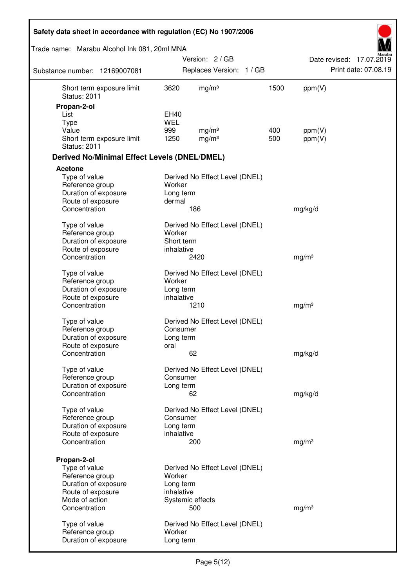| Safety data sheet in accordance with regulation (EC) No 1907/2006 |                     |                                |      |                          |  |
|-------------------------------------------------------------------|---------------------|--------------------------------|------|--------------------------|--|
| Trade name: Marabu Alcohol Ink 081, 20ml MNA                      |                     |                                |      |                          |  |
|                                                                   |                     | Version: 2 / GB                |      | Date revised: 17.07.2019 |  |
| Substance number: 12169007081                                     |                     | Replaces Version: 1 / GB       |      | Print date: 07.08.19     |  |
| Short term exposure limit<br><b>Status: 2011</b>                  | 3620                | mg/m <sup>3</sup>              | 1500 | ppm(V)                   |  |
| Propan-2-ol                                                       |                     |                                |      |                          |  |
| List                                                              | EH40<br><b>WEL</b>  |                                |      |                          |  |
| <b>Type</b><br>Value                                              | 999                 | mg/m <sup>3</sup>              | 400  | ppm(V)                   |  |
| Short term exposure limit<br><b>Status: 2011</b>                  | 1250                | mg/m <sup>3</sup>              | 500  | ppm(V)                   |  |
| <b>Derived No/Minimal Effect Levels (DNEL/DMEL)</b>               |                     |                                |      |                          |  |
| <b>Acetone</b>                                                    |                     |                                |      |                          |  |
| Type of value                                                     |                     | Derived No Effect Level (DNEL) |      |                          |  |
| Reference group                                                   | Worker              |                                |      |                          |  |
| Duration of exposure<br>Route of exposure                         | Long term<br>dermal |                                |      |                          |  |
| Concentration                                                     |                     | 186                            |      | mg/kg/d                  |  |
|                                                                   |                     |                                |      |                          |  |
| Type of value                                                     |                     | Derived No Effect Level (DNEL) |      |                          |  |
| Reference group                                                   | Worker              |                                |      |                          |  |
| Duration of exposure                                              | Short term          |                                |      |                          |  |
| Route of exposure                                                 | inhalative          |                                |      |                          |  |
| Concentration                                                     |                     | 2420                           |      | mg/m <sup>3</sup>        |  |
| Type of value                                                     |                     | Derived No Effect Level (DNEL) |      |                          |  |
| Reference group                                                   | Worker              |                                |      |                          |  |
| Duration of exposure                                              | Long term           |                                |      |                          |  |
| Route of exposure                                                 | inhalative          |                                |      |                          |  |
| Concentration                                                     |                     | 1210                           |      | mg/m <sup>3</sup>        |  |
| Type of value                                                     |                     | Derived No Effect Level (DNEL) |      |                          |  |
| Reference group                                                   | Consumer            |                                |      |                          |  |
| Duration of exposure                                              | Long term           |                                |      |                          |  |
| Route of exposure                                                 | oral                |                                |      |                          |  |
| Concentration                                                     |                     | 62                             |      | mg/kg/d                  |  |
| Type of value                                                     |                     | Derived No Effect Level (DNEL) |      |                          |  |
| Reference group                                                   | Consumer            |                                |      |                          |  |
| Duration of exposure                                              | Long term           |                                |      |                          |  |
| Concentration                                                     |                     | 62                             |      | mg/kg/d                  |  |
|                                                                   |                     | Derived No Effect Level (DNEL) |      |                          |  |
| Type of value<br>Reference group                                  | Consumer            |                                |      |                          |  |
| Duration of exposure                                              | Long term           |                                |      |                          |  |
| Route of exposure                                                 | inhalative          |                                |      |                          |  |
| Concentration                                                     |                     | 200                            |      | mg/m <sup>3</sup>        |  |
|                                                                   |                     |                                |      |                          |  |
| Propan-2-ol                                                       |                     |                                |      |                          |  |
| Type of value<br>Reference group                                  | Worker              | Derived No Effect Level (DNEL) |      |                          |  |
| Duration of exposure                                              | Long term           |                                |      |                          |  |
| Route of exposure                                                 | inhalative          |                                |      |                          |  |
| Mode of action                                                    |                     | Systemic effects               |      |                          |  |
| Concentration                                                     |                     | 500                            |      | mg/m <sup>3</sup>        |  |
|                                                                   |                     |                                |      |                          |  |
| Type of value<br>Reference group                                  | Worker              | Derived No Effect Level (DNEL) |      |                          |  |
| Duration of exposure                                              | Long term           |                                |      |                          |  |
|                                                                   |                     |                                |      |                          |  |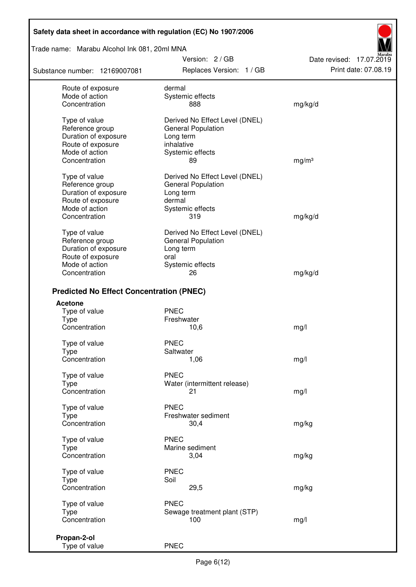Trade name: Marabu Alcohol Ink 081, 20ml MNA

Substance number: 12169007081

Version: 2 / GB Replaces Version: 1 / GB Print date: 07.08.19

Date revised: 17.07.2019

| Route of exposure                               | dermal                         |                   |
|-------------------------------------------------|--------------------------------|-------------------|
| Mode of action                                  | Systemic effects               |                   |
| Concentration                                   | 888                            | mg/kg/d           |
| Type of value                                   | Derived No Effect Level (DNEL) |                   |
| Reference group                                 | <b>General Population</b>      |                   |
| Duration of exposure                            | Long term                      |                   |
| Route of exposure                               | inhalative                     |                   |
| Mode of action                                  | Systemic effects               |                   |
| Concentration                                   | 89                             | mg/m <sup>3</sup> |
| Type of value                                   | Derived No Effect Level (DNEL) |                   |
| Reference group                                 | <b>General Population</b>      |                   |
| Duration of exposure                            | Long term                      |                   |
| Route of exposure                               | dermal                         |                   |
| Mode of action                                  | Systemic effects               |                   |
| Concentration                                   | 319                            | mg/kg/d           |
|                                                 |                                |                   |
| Type of value                                   | Derived No Effect Level (DNEL) |                   |
| Reference group                                 | <b>General Population</b>      |                   |
| Duration of exposure                            | Long term                      |                   |
| Route of exposure                               | oral                           |                   |
| Mode of action                                  | Systemic effects               |                   |
| Concentration                                   | 26                             | mg/kg/d           |
| <b>Predicted No Effect Concentration (PNEC)</b> |                                |                   |
| <b>Acetone</b>                                  |                                |                   |
| Type of value                                   | <b>PNEC</b>                    |                   |
| <b>Type</b>                                     | Freshwater                     |                   |
| Concentration                                   | 10,6                           | mg/l              |
| Type of value                                   | <b>PNEC</b>                    |                   |
| Type                                            | Saltwater                      |                   |
| Concentration                                   | 1,06                           | mg/l              |
| Type of value                                   | <b>PNEC</b>                    |                   |
| Type                                            | Water (intermittent release)   |                   |
| Concentration                                   | 21                             | mg/l              |
|                                                 |                                |                   |
| Type of value                                   | <b>PNEC</b>                    |                   |
| Type                                            | Freshwater sediment            |                   |
| Concentration                                   | 30,4                           | mg/kg             |
| Type of value                                   | <b>PNEC</b>                    |                   |
| Type                                            | Marine sediment                |                   |
| Concentration                                   | 3,04                           | mg/kg             |
| Type of value                                   | <b>PNEC</b>                    |                   |
| <b>Type</b>                                     | Soil                           |                   |
| Concentration                                   | 29,5                           | mg/kg             |
| Type of value                                   | <b>PNEC</b>                    |                   |
| Type                                            | Sewage treatment plant (STP)   |                   |
| Concentration                                   | 100                            | mg/l              |
| Propan-2-ol                                     |                                |                   |
| Type of value                                   | <b>PNEC</b>                    |                   |
|                                                 |                                |                   |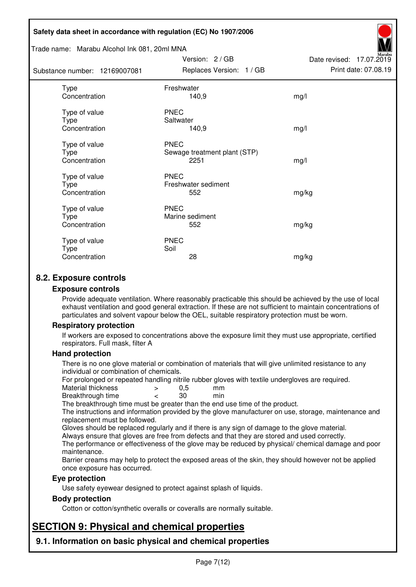#### Trade name: Marabu Alcohol Ink 081, 20ml MNA

| Substance number: 12169007081          | Replaces Version: 1 / GB                            | Print date: 07.08.19 |
|----------------------------------------|-----------------------------------------------------|----------------------|
| Type<br>Concentration                  | Freshwater<br>140,9                                 | mg/l                 |
| Type of value<br>Type<br>Concentration | <b>PNEC</b><br>Saltwater<br>140,9                   | mg/l                 |
| Type of value<br>Type<br>Concentration | <b>PNEC</b><br>Sewage treatment plant (STP)<br>2251 | mg/l                 |
| Type of value<br>Type<br>Concentration | <b>PNEC</b><br>Freshwater sediment<br>552           | mg/kg                |
| Type of value<br>Type<br>Concentration | <b>PNEC</b><br>Marine sediment<br>552               | mg/kg                |
| Type of value<br>Type<br>Concentration | <b>PNEC</b><br>Soil<br>28                           | mg/kg                |

Version: 2 / GB

Date revised: 17.07.2019

## **8.2. Exposure controls**

#### **Exposure controls**

Provide adequate ventilation. Where reasonably practicable this should be achieved by the use of local exhaust ventilation and good general extraction. If these are not sufficient to maintain concentrations of particulates and solvent vapour below the OEL, suitable respiratory protection must be worn.

### **Respiratory protection**

If workers are exposed to concentrations above the exposure limit they must use appropriate, certified respirators. Full mask, filter A

#### **Hand protection**

There is no one glove material or combination of materials that will give unlimited resistance to any individual or combination of chemicals.

For prolonged or repeated handling nitrile rubber gloves with textile undergloves are required.<br>Material thickness  $\geq 0.5$  mm

- Material thickness  $\begin{array}{ccc} 0.5 \\ -8.5 \end{array}$  Material thickness  $\begin{array}{ccc} 0.5 \\ -8.5 \end{array}$
- Breakthrough time < 30 min

The breakthrough time must be greater than the end use time of the product.

The instructions and information provided by the glove manufacturer on use, storage, maintenance and replacement must be followed.

Gloves should be replaced regularly and if there is any sign of damage to the glove material.

Always ensure that gloves are free from defects and that they are stored and used correctly.

The performance or effectiveness of the glove may be reduced by physical/ chemical damage and poor maintenance.

Barrier creams may help to protect the exposed areas of the skin, they should however not be applied once exposure has occurred.

### **Eye protection**

Use safety eyewear designed to protect against splash of liquids.

### **Body protection**

Cotton or cotton/synthetic overalls or coveralls are normally suitable.

## **SECTION 9: Physical and chemical properties**

**9.1. Information on basic physical and chemical properties**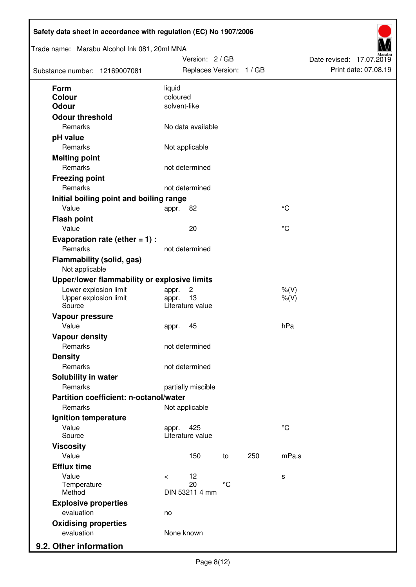| Trade name: Marabu Alcohol Ink 081, 20ml MNA<br>Substance number: 12169007081 | Version: 2 / GB<br>Replaces Version: 1 / GB |             |     |             | Date revised: 17.07.2019<br>Print date: 07.08.19 |  |
|-------------------------------------------------------------------------------|---------------------------------------------|-------------|-----|-------------|--------------------------------------------------|--|
| <b>Form</b>                                                                   | liquid                                      |             |     |             |                                                  |  |
| <b>Colour</b>                                                                 | coloured                                    |             |     |             |                                                  |  |
| <b>Odour</b>                                                                  | solvent-like                                |             |     |             |                                                  |  |
| <b>Odour threshold</b>                                                        |                                             |             |     |             |                                                  |  |
| Remarks                                                                       | No data available                           |             |     |             |                                                  |  |
| pH value                                                                      |                                             |             |     |             |                                                  |  |
| Remarks                                                                       | Not applicable                              |             |     |             |                                                  |  |
| <b>Melting point</b>                                                          |                                             |             |     |             |                                                  |  |
| Remarks                                                                       | not determined                              |             |     |             |                                                  |  |
| <b>Freezing point</b>                                                         |                                             |             |     |             |                                                  |  |
| Remarks                                                                       | not determined                              |             |     |             |                                                  |  |
| Initial boiling point and boiling range                                       |                                             |             |     |             |                                                  |  |
| Value                                                                         | 82<br>appr.                                 |             |     | °C          |                                                  |  |
| <b>Flash point</b>                                                            |                                             |             |     |             |                                                  |  |
| Value                                                                         | 20                                          |             |     | °C          |                                                  |  |
| Evaporation rate (ether $= 1$ ) :                                             |                                             |             |     |             |                                                  |  |
| Remarks                                                                       | not determined                              |             |     |             |                                                  |  |
| <b>Flammability (solid, gas)</b><br>Not applicable                            |                                             |             |     |             |                                                  |  |
| Upper/lower flammability or explosive limits                                  |                                             |             |     |             |                                                  |  |
| Lower explosion limit                                                         | $\overline{c}$<br>appr.                     |             |     | $%$ (V)     |                                                  |  |
| Upper explosion limit<br>Source                                               | 13<br>appr.<br>Literature value             |             |     | $%$ (V)     |                                                  |  |
| Vapour pressure                                                               |                                             |             |     |             |                                                  |  |
| Value                                                                         | 45<br>appr.                                 |             |     | hPa         |                                                  |  |
| <b>Vapour density</b>                                                         |                                             |             |     |             |                                                  |  |
| Remarks                                                                       | not determined                              |             |     |             |                                                  |  |
| <b>Density</b>                                                                |                                             |             |     |             |                                                  |  |
| Remarks                                                                       | not determined                              |             |     |             |                                                  |  |
| Solubility in water                                                           |                                             |             |     |             |                                                  |  |
| Remarks                                                                       | partially miscible                          |             |     |             |                                                  |  |
| Partition coefficient: n-octanol/water                                        |                                             |             |     |             |                                                  |  |
| Remarks                                                                       | Not applicable                              |             |     |             |                                                  |  |
| Ignition temperature                                                          |                                             |             |     |             |                                                  |  |
| Value<br>Source                                                               | 425<br>appr.<br>Literature value            |             |     | $^{\circ}C$ |                                                  |  |
| <b>Viscosity</b>                                                              |                                             |             |     |             |                                                  |  |
| Value                                                                         | 150                                         | to          | 250 | mPa.s       |                                                  |  |
| <b>Efflux time</b>                                                            |                                             |             |     |             |                                                  |  |
| Value                                                                         | 12<br>$\prec$                               |             |     | s           |                                                  |  |
| Temperature                                                                   | 20                                          | $^{\circ}C$ |     |             |                                                  |  |
| Method                                                                        | DIN 53211 4 mm                              |             |     |             |                                                  |  |
| <b>Explosive properties</b>                                                   |                                             |             |     |             |                                                  |  |
| evaluation                                                                    | no                                          |             |     |             |                                                  |  |
| <b>Oxidising properties</b><br>evaluation                                     | None known                                  |             |     |             |                                                  |  |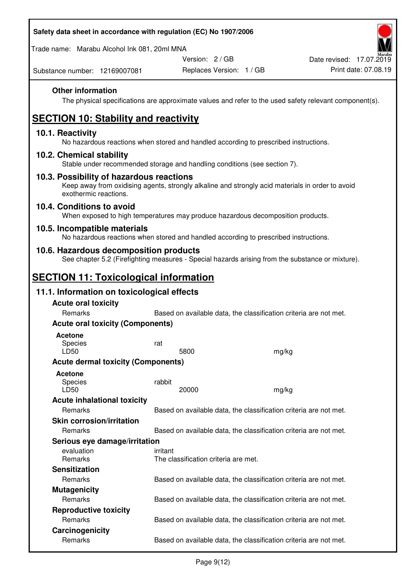| Safety data sheet in accordance with regulation (EC) No 1907/2006                                                                                                     |          |                                                                   |       |                          |
|-----------------------------------------------------------------------------------------------------------------------------------------------------------------------|----------|-------------------------------------------------------------------|-------|--------------------------|
| Trade name: Marabu Alcohol Ink 081, 20ml MNA                                                                                                                          |          | Version: 2 / GB                                                   |       | Date revised: 17.07.2019 |
| Substance number: 12169007081                                                                                                                                         |          | Replaces Version: 1 / GB                                          |       | Print date: 07.08.19     |
| <b>Other information</b><br>The physical specifications are approximate values and refer to the used safety relevant component(s).                                    |          |                                                                   |       |                          |
| <b>SECTION 10: Stability and reactivity</b>                                                                                                                           |          |                                                                   |       |                          |
| 10.1. Reactivity<br>No hazardous reactions when stored and handled according to prescribed instructions.                                                              |          |                                                                   |       |                          |
| 10.2. Chemical stability<br>Stable under recommended storage and handling conditions (see section 7).                                                                 |          |                                                                   |       |                          |
| 10.3. Possibility of hazardous reactions<br>Keep away from oxidising agents, strongly alkaline and strongly acid materials in order to avoid<br>exothermic reactions. |          |                                                                   |       |                          |
| 10.4. Conditions to avoid<br>When exposed to high temperatures may produce hazardous decomposition products.                                                          |          |                                                                   |       |                          |
| 10.5. Incompatible materials<br>No hazardous reactions when stored and handled according to prescribed instructions.                                                  |          |                                                                   |       |                          |
| 10.6. Hazardous decomposition products<br>See chapter 5.2 (Firefighting measures - Special hazards arising from the substance or mixture).                            |          |                                                                   |       |                          |
| <b>SECTION 11: Toxicological information</b>                                                                                                                          |          |                                                                   |       |                          |
| 11.1. Information on toxicological effects                                                                                                                            |          |                                                                   |       |                          |
| <b>Acute oral toxicity</b>                                                                                                                                            |          |                                                                   |       |                          |
| Remarks                                                                                                                                                               |          | Based on available data, the classification criteria are not met. |       |                          |
| <b>Acute oral toxicity (Components)</b>                                                                                                                               |          |                                                                   |       |                          |
| <b>Acetone</b><br>Species<br>LD50                                                                                                                                     | rat      | 5800                                                              | mg/kg |                          |
| <b>Acute dermal toxicity (Components)</b>                                                                                                                             |          |                                                                   |       |                          |
| <b>Acetone</b><br>Species<br>LD50                                                                                                                                     | rabbit   | 20000                                                             | mg/kg |                          |
| <b>Acute inhalational toxicity</b><br>Remarks                                                                                                                         |          | Based on available data, the classification criteria are not met. |       |                          |
| <b>Skin corrosion/irritation</b>                                                                                                                                      |          |                                                                   |       |                          |
| Remarks                                                                                                                                                               |          | Based on available data, the classification criteria are not met. |       |                          |
| Serious eye damage/irritation                                                                                                                                         |          |                                                                   |       |                          |
| evaluation<br>Remarks                                                                                                                                                 | irritant | The classification criteria are met.                              |       |                          |
| <b>Sensitization</b>                                                                                                                                                  |          |                                                                   |       |                          |
| Remarks                                                                                                                                                               |          | Based on available data, the classification criteria are not met. |       |                          |
| <b>Mutagenicity</b>                                                                                                                                                   |          |                                                                   |       |                          |
| Remarks                                                                                                                                                               |          | Based on available data, the classification criteria are not met. |       |                          |
| <b>Reproductive toxicity</b>                                                                                                                                          |          |                                                                   |       |                          |

Remarks Based on available data, the classification criteria are not met. **Carcinogenicity** 

Remarks Based on available data, the classification criteria are not met.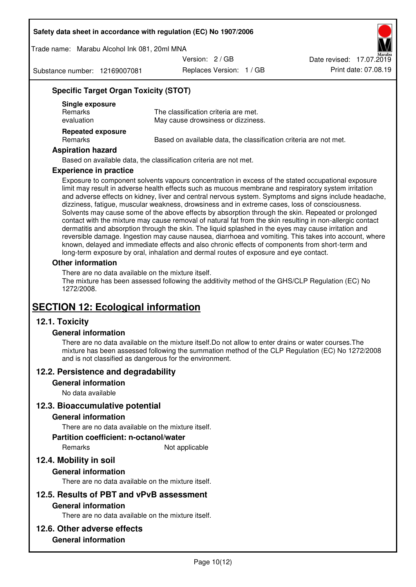Trade name: Marabu Alcohol Ink 081, 20ml MNA

Version: 2 / GB

Substance number: 12169007081

Replaces Version: 1 / GB Print date: 07.08.19 Date revised: 17.07.2019

## **Specific Target Organ Toxicity (STOT)**

| Single exposure<br><b>Remarks</b><br>evaluation | The classification criteria are met.<br>May cause drowsiness or dizziness. |
|-------------------------------------------------|----------------------------------------------------------------------------|
| <b>Repeated exposure</b><br>Remarks             | Based on available data, the classification criteria are not met.          |

#### **Aspiration hazard**

Based on available data, the classification criteria are not met.

#### **Experience in practice**

Exposure to component solvents vapours concentration in excess of the stated occupational exposure limit may result in adverse health effects such as mucous membrane and respiratory system irritation and adverse effects on kidney, liver and central nervous system. Symptoms and signs include headache, dizziness, fatigue, muscular weakness, drowsiness and in extreme cases, loss of consciousness. Solvents may cause some of the above effects by absorption through the skin. Repeated or prolonged contact with the mixture may cause removal of natural fat from the skin resulting in non-allergic contact dermatitis and absorption through the skin. The liquid splashed in the eyes may cause irritation and reversible damage. Ingestion may cause nausea, diarrhoea and vomiting. This takes into account, where known, delayed and immediate effects and also chronic effects of components from short-term and long-term exposure by oral, inhalation and dermal routes of exposure and eye contact.

### **Other information**

There are no data available on the mixture itself. The mixture has been assessed following the additivity method of the GHS/CLP Regulation (EC) No 1272/2008.

## **SECTION 12: Ecological information**

## **12.1. Toxicity**

### **General information**

There are no data available on the mixture itself.Do not allow to enter drains or water courses.The mixture has been assessed following the summation method of the CLP Regulation (EC) No 1272/2008 and is not classified as dangerous for the environment.

## **12.2. Persistence and degradability**

#### **General information**

No data available

### **12.3. Bioaccumulative potential**

### **General information**

There are no data available on the mixture itself.

#### **Partition coefficient: n-octanol/water**

Remarks Not applicable

## **12.4. Mobility in soil**

### **General information**

There are no data available on the mixture itself.

## **12.5. Results of PBT and vPvB assessment**

### **General information**

There are no data available on the mixture itself.

### **12.6. Other adverse effects**

## **General information**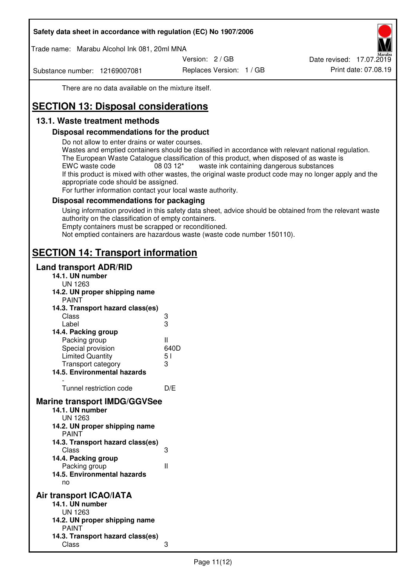Trade name: Marabu Alcohol Ink 081, 20ml MNA

Version: 2 / GB

Substance number: 12169007081

Replaces Version: 1 / GB Print date: 07.08.19 Date revised: 17.07.2019

There are no data available on the mixture itself.

# **SECTION 13: Disposal considerations**

## **13.1. Waste treatment methods**

## **Disposal recommendations for the product**

Do not allow to enter drains or water courses.

Wastes and emptied containers should be classified in accordance with relevant national regulation. The European Waste Catalogue classification of this product, when disposed of as waste is EWC waste code  $08\,03\,12^*$  waste ink containing dangerous substances If this product is mixed with other wastes, the original waste product code may no longer apply and the appropriate code should be assigned.

For further information contact your local waste authority.

## **Disposal recommendations for packaging**

Using information provided in this safety data sheet, advice should be obtained from the relevant waste authority on the classification of empty containers. Empty containers must be scrapped or reconditioned.

Not emptied containers are hazardous waste (waste code number 150110).

## **SECTION 14: Transport information**

## **Land transport ADR/RID**

| 14.1. UN number<br><b>UN 1263</b>                                                                                                                                                                                                            |                   |
|----------------------------------------------------------------------------------------------------------------------------------------------------------------------------------------------------------------------------------------------|-------------------|
| 14.2. UN proper shipping name                                                                                                                                                                                                                |                   |
| <b>PAINT</b>                                                                                                                                                                                                                                 |                   |
| 14.3. Transport hazard class(es)                                                                                                                                                                                                             |                   |
| Class                                                                                                                                                                                                                                        | ვ<br>ვ            |
| Label                                                                                                                                                                                                                                        |                   |
| 14.4. Packing group                                                                                                                                                                                                                          |                   |
| Packing group                                                                                                                                                                                                                                | Ш                 |
| Special provision                                                                                                                                                                                                                            | 640D              |
| <b>Limited Quantity</b>                                                                                                                                                                                                                      | 5 <sub>1</sub>    |
| Transport category                                                                                                                                                                                                                           | 3                 |
| 14.5. Environmental hazards                                                                                                                                                                                                                  |                   |
| Tunnel restriction code                                                                                                                                                                                                                      | D/E               |
| <b>Marine transport IMDG/GGVSee</b><br>14.1. UN number<br>UN 1263<br>14.2. UN proper shipping name<br><b>PAINT</b><br>14.3. Transport hazard class(es)<br>Class<br>14.4. Packing group<br>Packing group<br>14.5. Environmental hazards<br>no | 3<br>$\mathbf{I}$ |
| Air transport ICAO/IATA<br>14.1. UN number<br>UN 1263<br>14.2. UN proper shipping name<br><b>PAINT</b>                                                                                                                                       |                   |
| 14.3. Transport hazard class(es)<br>Class                                                                                                                                                                                                    | 3                 |